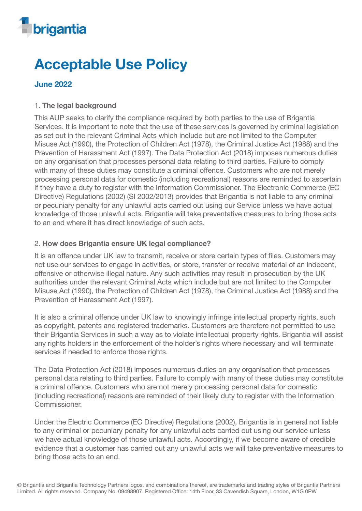

# Acceptable Use Policy

# June 2022

# 1. The legal background

This AUP seeks to clarify the compliance required by both parties to the use of Brigantia Services. It is important to note that the use of these services is governed by criminal legislation as set out in the relevant Criminal Acts which include but are not limited to the Computer Misuse Act (1990), the Protection of Children Act (1978), the Criminal Justice Act (1988) and the Prevention of Harassment Act (1997). The Data Protection Act (2018) imposes numerous duties on any organisation that processes personal data relating to third parties. Failure to comply with many of these duties may constitute a criminal offence. Customers who are not merely processing personal data for domestic (including recreational) reasons are reminded to ascertain if they have a duty to register with the Information Commissioner. The Electronic Commerce (EC Directive) Regulations (2002) (SI 2002/2013) provides that Brigantia is not liable to any criminal or pecuniary penalty for any unlawful acts carried out using our Service unless we have actual knowledge of those unlawful acts. Brigantia will take preventative measures to bring those acts to an end where it has direct knowledge of such acts.

### 2. How does Brigantia ensure UK legal compliance?

It is an offence under UK law to transmit, receive or store certain types of files. Customers may not use our services to engage in activities, or store, transfer or receive material of an indecent, offensive or otherwise illegal nature. Any such activities may result in prosecution by the UK authorities under the relevant Criminal Acts which include but are not limited to the Computer Misuse Act (1990), the Protection of Children Act (1978), the Criminal Justice Act (1988) and the Prevention of Harassment Act (1997).

It is also a criminal offence under UK law to knowingly infringe intellectual property rights, such as copyright, patents and registered trademarks. Customers are therefore not permitted to use their Brigantia Services in such a way as to violate intellectual property rights. Brigantia will assist any rights holders in the enforcement of the holder's rights where necessary and will terminate services if needed to enforce those rights.

The Data Protection Act (2018) imposes numerous duties on any organisation that processes personal data relating to third parties. Failure to comply with many of these duties may constitute a criminal offence. Customers who are not merely processing personal data for domestic (including recreational) reasons are reminded of their likely duty to register with the Information Commissioner.

Under the Electric Commerce (EC Directive) Regulations (2002), Brigantia is in general not liable to any criminal or pecuniary penalty for any unlawful acts carried out using our service unless we have actual knowledge of those unlawful acts. Accordingly, if we become aware of credible evidence that a customer has carried out any unlawful acts we will take preventative measures to bring those acts to an end.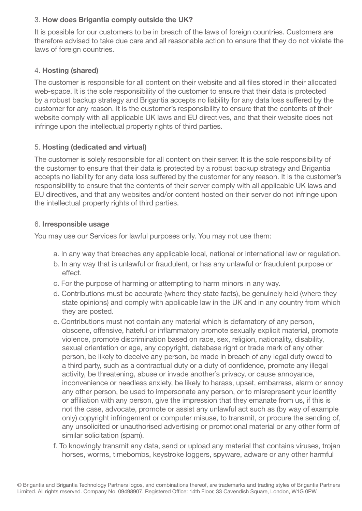# 3. How does Brigantia comply outside the UK?

It is possible for our customers to be in breach of the laws of foreign countries. Customers are therefore advised to take due care and all reasonable action to ensure that they do not violate the laws of foreign countries.

# 4. Hosting (shared)

The customer is responsible for all content on their website and all files stored in their allocated web-space. It is the sole responsibility of the customer to ensure that their data is protected by a robust backup strategy and Brigantia accepts no liability for any data loss suffered by the customer for any reason. It is the customer's responsibility to ensure that the contents of their website comply with all applicable UK laws and EU directives, and that their website does not infringe upon the intellectual property rights of third parties.

### 5. Hosting (dedicated and virtual)

The customer is solely responsible for all content on their server. It is the sole responsibility of the customer to ensure that their data is protected by a robust backup strategy and Brigantia accepts no liability for any data loss suffered by the customer for any reason. It is the customer's responsibility to ensure that the contents of their server comply with all applicable UK laws and EU directives, and that any websites and/or content hosted on their server do not infringe upon the intellectual property rights of third parties.

#### 6. Irresponsible usage

You may use our Services for lawful purposes only. You may not use them:

- a. In any way that breaches any applicable local, national or international law or regulation.
- b. In any way that is unlawful or fraudulent, or has any unlawful or fraudulent purpose or effect.
- c. For the purpose of harming or attempting to harm minors in any way.
- d. Contributions must be accurate (where they state facts), be genuinely held (where they state opinions) and comply with applicable law in the UK and in any country from which they are posted.
- e. Contributions must not contain any material which is defamatory of any person, obscene, offensive, hateful or inflammatory promote sexually explicit material, promote violence, promote discrimination based on race, sex, religion, nationality, disability, sexual orientation or age, any copyright, database right or trade mark of any other person, be likely to deceive any person, be made in breach of any legal duty owed to a third party, such as a contractual duty or a duty of confidence, promote any illegal activity, be threatening, abuse or invade another's privacy, or cause annoyance, inconvenience or needless anxiety, be likely to harass, upset, embarrass, alarm or annoy any other person, be used to impersonate any person, or to misrepresent your identity or affiliation with any person, give the impression that they emanate from us, if this is not the case, advocate, promote or assist any unlawful act such as (by way of example only) copyright infringement or computer misuse, to transmit, or procure the sending of, any unsolicited or unauthorised advertising or promotional material or any other form of similar solicitation (spam).
- f. To knowingly transmit any data, send or upload any material that contains viruses, trojan horses, worms, timebombs, keystroke loggers, spyware, adware or any other harmful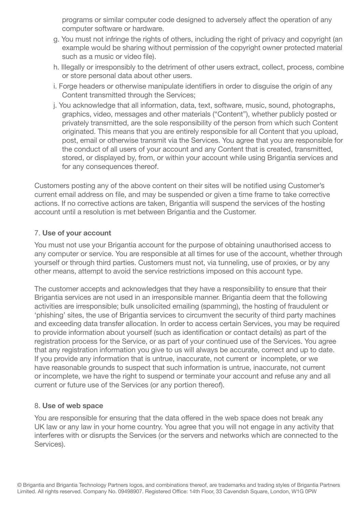programs or similar computer code designed to adversely affect the operation of any computer software or hardware.

- g. You must not infringe the rights of others, including the right of privacy and copyright (an example would be sharing without permission of the copyright owner protected material such as a music or video file).
- h. Illegally or irresponsibly to the detriment of other users extract, collect, process, combine or store personal data about other users.
- i. Forge headers or otherwise manipulate identifiers in order to disguise the origin of any Content transmitted through the Services;
- j. You acknowledge that all information, data, text, software, music, sound, photographs, graphics, video, messages and other materials ("Content"), whether publicly posted or privately transmitted, are the sole responsibility of the person from which such Content originated. This means that you are entirely responsible for all Content that you upload, post, email or otherwise transmit via the Services. You agree that you are responsible for the conduct of all users of your account and any Content that is created, transmitted, stored, or displayed by, from, or within your account while using Brigantia services and for any consequences thereof.

Customers posting any of the above content on their sites will be notified using Customer's current email address on file, and may be suspended or given a time frame to take corrective actions. If no corrective actions are taken, Brigantia will suspend the services of the hosting account until a resolution is met between Brigantia and the Customer.

### 7. Use of your account

You must not use your Brigantia account for the purpose of obtaining unauthorised access to any computer or service. You are responsible at all times for use of the account, whether through yourself or through third parties. Customers must not, via tunneling, use of proxies, or by any other means, attempt to avoid the service restrictions imposed on this account type.

The customer accepts and acknowledges that they have a responsibility to ensure that their Brigantia services are not used in an irresponsible manner. Brigantia deem that the following activities are irresponsible; bulk unsolicited emailing (spamming), the hosting of fraudulent or 'phishing' sites, the use of Brigantia services to circumvent the security of third party machines and exceeding data transfer allocation. In order to access certain Services, you may be required to provide information about yourself (such as identification or contact details) as part of the registration process for the Service, or as part of your continued use of the Services. You agree that any registration information you give to us will always be accurate, correct and up to date. If you provide any information that is untrue, inaccurate, not current or incomplete, or we have reasonable grounds to suspect that such information is untrue, inaccurate, not current or incomplete, we have the right to suspend or terminate your account and refuse any and all current or future use of the Services (or any portion thereof).

#### 8. Use of web space

You are responsible for ensuring that the data offered in the web space does not break any UK law or any law in your home country. You agree that you will not engage in any activity that interferes with or disrupts the Services (or the servers and networks which are connected to the Services).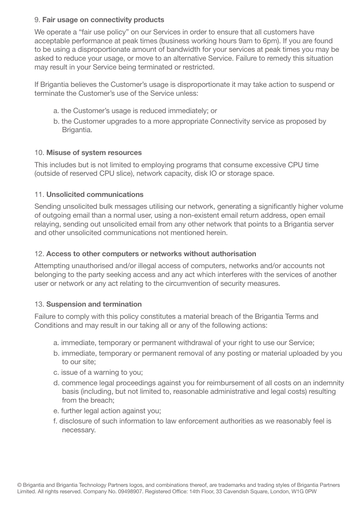### 9. Fair usage on connectivity products

We operate a "fair use policy" on our Services in order to ensure that all customers have acceptable performance at peak times (business working hours 9am to 6pm). If you are found to be using a disproportionate amount of bandwidth for your services at peak times you may be asked to reduce your usage, or move to an alternative Service. Failure to remedy this situation may result in your Service being terminated or restricted.

If Brigantia believes the Customer's usage is disproportionate it may take action to suspend or terminate the Customer's use of the Service unless:

- a. the Customer's usage is reduced immediately; or
- b. the Customer upgrades to a more appropriate Connectivity service as proposed by Brigantia.

### 10. Misuse of system resources

This includes but is not limited to employing programs that consume excessive CPU time (outside of reserved CPU slice), network capacity, disk IO or storage space.

### 11. Unsolicited communications

Sending unsolicited bulk messages utilising our network, generating a significantly higher volume of outgoing email than a normal user, using a non-existent email return address, open email relaying, sending out unsolicited email from any other network that points to a Brigantia server and other unsolicited communications not mentioned herein.

### 12. Access to other computers or networks without authorisation

Attempting unauthorised and/or illegal access of computers, networks and/or accounts not belonging to the party seeking access and any act which interferes with the services of another user or network or any act relating to the circumvention of security measures.

#### 13. Suspension and termination

Failure to comply with this policy constitutes a material breach of the Brigantia Terms and Conditions and may result in our taking all or any of the following actions:

- a. immediate, temporary or permanent withdrawal of your right to use our Service;
- b. immediate, temporary or permanent removal of any posting or material uploaded by you to our site;
- c. issue of a warning to you;
- d. commence legal proceedings against you for reimbursement of all costs on an indemnity basis (including, but not limited to, reasonable administrative and legal costs) resulting from the breach;
- e. further legal action against you;
- f. disclosure of such information to law enforcement authorities as we reasonably feel is necessary.